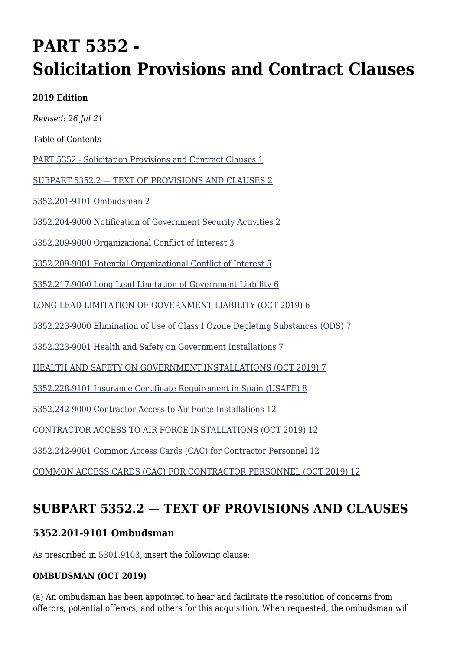# **PART 5352 - Solicitation Provisions and Contract Clauses**

#### **2019 Edition**

*Revised: 26 Jul 21*

Table of Contents

[PART 5352 - Solicitation Provisions and Contract Clauses 1](#page--1-0)

[SUBPART 5352.2 — TEXT OF PROVISIONS AND CLAUSES 2](#page--1-0)

[5352.201-9101 Ombudsman 2](#page--1-0)

[5352.204-9000 Notification of Government Security Activities 2](#page--1-0)

[5352.209-9000 Organizational Conflict of Interest 3](#page--1-0)

[5352.209-9001 Potential Organizational Conflict of Interest 5](#page--1-0)

[5352.217-9000 Long Lead Limitation of Government Liability 6](#page--1-0)

[LONG LEAD LIMITATION OF GOVERNMENT LIABILITY \(OCT 2019\) 6](#page--1-0)

[5352.223-9000 Elimination of Use of Class I Ozone Depleting Substances \(ODS\) 7](#page--1-0)

[5352.223-9001 Health and Safety on Government Installations 7](#page--1-0)

[HEALTH AND SAFETY ON GOVERNMENT INSTALLATIONS \(OCT 2019\) 7](#page--1-0)

[5352.228-9101 Insurance Certificate Requirement in Spain \(USAFE\) 8](#page--1-0)

[5352.242-9000 Contractor Access to Air Force Installations 12](#page--1-0)

[CONTRACTOR ACCESS TO AIR FORCE INSTALLATIONS \(OCT 2019\) 12](#page--1-0)

[5352.242-9001 Common Access Cards \(CAC\) for Contractor Personnel 12](#page--1-0)

[COMMON ACCESS CARDS \(CAC\) FOR CONTRACTOR PERSONNEL \(OCT 2019\) 12](#page--1-0)

## **SUBPART 5352.2 — TEXT OF PROVISIONS AND CLAUSES**

## **5352.201-9101 Ombudsman**

As prescribed in [5301.9103](https://origin-www.acquisition.gov/%5Brp:link:affars-part-5301%5D#p53019103), insert the following clause:

### **OMBUDSMAN (OCT 2019)**

(a) An ombudsman has been appointed to hear and facilitate the resolution of concerns from offerors, potential offerors, and others for this acquisition. When requested, the ombudsman will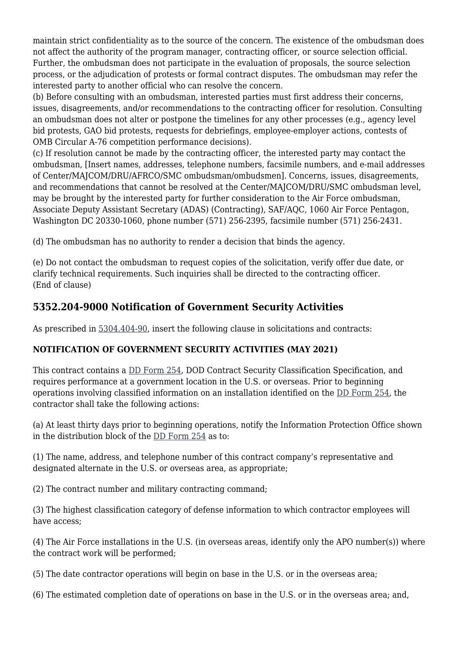maintain strict confidentiality as to the source of the concern. The existence of the ombudsman does not affect the authority of the program manager, contracting officer, or source selection official. Further, the ombudsman does not participate in the evaluation of proposals, the source selection process, or the adjudication of protests or formal contract disputes. The ombudsman may refer the interested party to another official who can resolve the concern.

(b) Before consulting with an ombudsman, interested parties must first address their concerns, issues, disagreements, and/or recommendations to the contracting officer for resolution. Consulting an ombudsman does not alter or postpone the timelines for any other processes (e.g., agency level bid protests, GAO bid protests, requests for debriefings, employee-employer actions, contests of OMB Circular A-76 competition performance decisions).

(c) If resolution cannot be made by the contracting officer, the interested party may contact the ombudsman, [Insert names, addresses, telephone numbers, facsimile numbers, and e-mail addresses of Center/MAJCOM/DRU/AFRCO/SMC ombudsman/ombudsmen]. Concerns, issues, disagreements, and recommendations that cannot be resolved at the Center/MAJCOM/DRU/SMC ombudsman level, may be brought by the interested party for further consideration to the Air Force ombudsman, Associate Deputy Assistant Secretary (ADAS) (Contracting), SAF/AQC, 1060 Air Force Pentagon, Washington DC 20330-1060, phone number (571) 256-2395, facsimile number (571) 256-2431.

(d) The ombudsman has no authority to render a decision that binds the agency.

(e) Do not contact the ombudsman to request copies of the solicitation, verify offer due date, or clarify technical requirements. Such inquiries shall be directed to the contracting officer. (End of clause)

## **5352.204-9000 Notification of Government Security Activities**

As prescribed in [5304.404-90,](https://origin-www.acquisition.gov/%5Brp:link:affars-part-5304%5D#p530440490) insert the following clause in solicitations and contracts:

### **NOTIFICATION OF GOVERNMENT SECURITY ACTIVITIES (MAY 2021)**

This contract contains a [DD Form 254,](http://www.esd.whs.mil/Portals/54/Documents/DD/forms/dd/dd0254.pdf) DOD Contract Security Classification Specification, and requires performance at a government location in the U.S. or overseas. Prior to beginning operations involving classified information on an installation identified on the [DD Form 254,](http://www.esd.whs.mil/Portals/54/Documents/DD/forms/dd/dd0254.pdf) the contractor shall take the following actions:

(a) At least thirty days prior to beginning operations, notify the Information Protection Office shown in the distribution block of the [DD Form 254](http://www.esd.whs.mil/Portals/54/Documents/DD/forms/dd/dd0254.pdf) as to:

(1) The name, address, and telephone number of this contract company's representative and designated alternate in the U.S. or overseas area, as appropriate;

(2) The contract number and military contracting command;

(3) The highest classification category of defense information to which contractor employees will have access;

(4) The Air Force installations in the U.S. (in overseas areas, identify only the APO number(s)) where the contract work will be performed;

(5) The date contractor operations will begin on base in the U.S. or in the overseas area;

(6) The estimated completion date of operations on base in the U.S. or in the overseas area; and,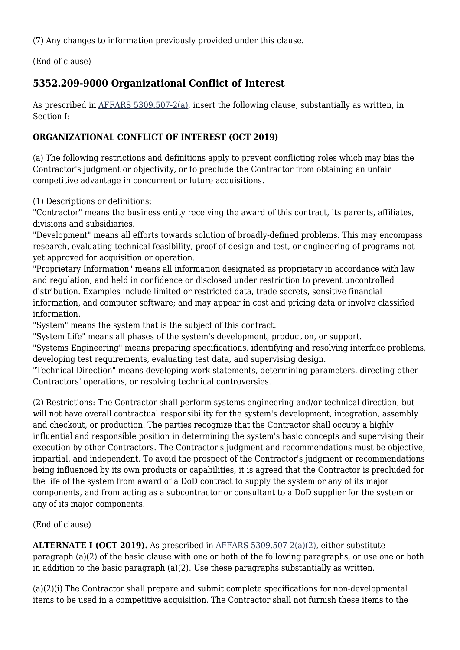(7) Any changes to information previously provided under this clause.

(End of clause)

## **5352.209-9000 Organizational Conflict of Interest**

As prescribed in [AFFARS 5309.507-2\(a\),](https://origin-www.acquisition.gov/%5Brp:link:affars-part-5309%5D) insert the following clause, substantially as written, in Section I:

## **ORGANIZATIONAL CONFLICT OF INTEREST (OCT 2019)**

(a) The following restrictions and definitions apply to prevent conflicting roles which may bias the Contractor's judgment or objectivity, or to preclude the Contractor from obtaining an unfair competitive advantage in concurrent or future acquisitions.

(1) Descriptions or definitions:

"Contractor" means the business entity receiving the award of this contract, its parents, affiliates, divisions and subsidiaries.

"Development" means all efforts towards solution of broadly-defined problems. This may encompass research, evaluating technical feasibility, proof of design and test, or engineering of programs not yet approved for acquisition or operation.

"Proprietary Information" means all information designated as proprietary in accordance with law and regulation, and held in confidence or disclosed under restriction to prevent uncontrolled distribution. Examples include limited or restricted data, trade secrets, sensitive financial information, and computer software; and may appear in cost and pricing data or involve classified information.

"System" means the system that is the subject of this contract.

"System Life" means all phases of the system's development, production, or support.

"Systems Engineering" means preparing specifications, identifying and resolving interface problems, developing test requirements, evaluating test data, and supervising design.

"Technical Direction" means developing work statements, determining parameters, directing other Contractors' operations, or resolving technical controversies.

(2) Restrictions: The Contractor shall perform systems engineering and/or technical direction, but will not have overall contractual responsibility for the system's development, integration, assembly and checkout, or production. The parties recognize that the Contractor shall occupy a highly influential and responsible position in determining the system's basic concepts and supervising their execution by other Contractors. The Contractor's judgment and recommendations must be objective, impartial, and independent. To avoid the prospect of the Contractor's judgment or recommendations being influenced by its own products or capabilities, it is agreed that the Contractor is precluded for the life of the system from award of a DoD contract to supply the system or any of its major components, and from acting as a subcontractor or consultant to a DoD supplier for the system or any of its major components.

(End of clause)

**ALTERNATE I (OCT 2019).** As prescribed in [AFFARS 5309.507-2\(a\)\(2\)](https://origin-www.acquisition.gov/%5Brp:link:affars-part-5309%5D), either substitute paragraph (a)(2) of the basic clause with one or both of the following paragraphs, or use one or both in addition to the basic paragraph (a)(2). Use these paragraphs substantially as written.

(a)(2)(i) The Contractor shall prepare and submit complete specifications for non-developmental items to be used in a competitive acquisition. The Contractor shall not furnish these items to the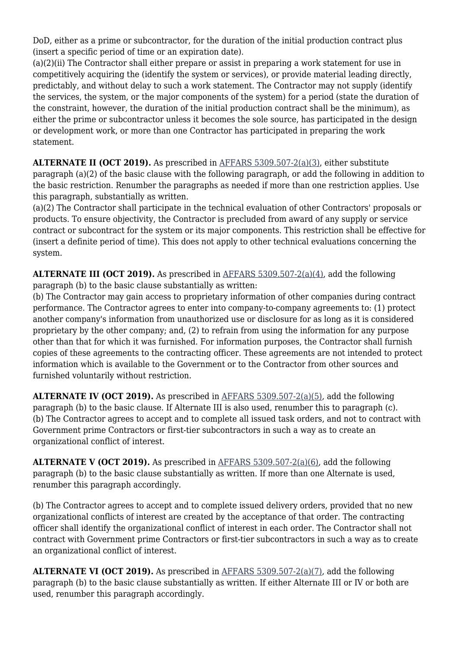DoD, either as a prime or subcontractor, for the duration of the initial production contract plus (insert a specific period of time or an expiration date).

(a)(2)(ii) The Contractor shall either prepare or assist in preparing a work statement for use in competitively acquiring the (identify the system or services), or provide material leading directly, predictably, and without delay to such a work statement. The Contractor may not supply (identify the services, the system, or the major components of the system) for a period (state the duration of the constraint, however, the duration of the initial production contract shall be the minimum), as either the prime or subcontractor unless it becomes the sole source, has participated in the design or development work, or more than one Contractor has participated in preparing the work statement.

**ALTERNATE II (OCT 2019).** As prescribed in **AFFARS** 5309.507-2(a)(3), either substitute paragraph (a)(2) of the basic clause with the following paragraph, or add the following in addition to the basic restriction. Renumber the paragraphs as needed if more than one restriction applies. Use this paragraph, substantially as written.

(a)(2) The Contractor shall participate in the technical evaluation of other Contractors' proposals or products. To ensure objectivity, the Contractor is precluded from award of any supply or service contract or subcontract for the system or its major components. This restriction shall be effective for (insert a definite period of time). This does not apply to other technical evaluations concerning the system.

**ALTERNATE III (OCT 2019).** As prescribed in [AFFARS 5309.507-2\(a\)\(4\),](https://origin-www.acquisition.gov/%5Brp:link:affars-part-5309%5D) add the following paragraph (b) to the basic clause substantially as written:

(b) The Contractor may gain access to proprietary information of other companies during contract performance. The Contractor agrees to enter into company-to-company agreements to: (1) protect another company's information from unauthorized use or disclosure for as long as it is considered proprietary by the other company; and, (2) to refrain from using the information for any purpose other than that for which it was furnished. For information purposes, the Contractor shall furnish copies of these agreements to the contracting officer. These agreements are not intended to protect information which is available to the Government or to the Contractor from other sources and furnished voluntarily without restriction.

**ALTERNATE IV (OCT 2019).** As prescribed in [AFFARS 5309.507-2\(a\)\(5\),](https://origin-www.acquisition.gov/%5Brp:link:affars-part-5309%5D) add the following paragraph (b) to the basic clause. If Alternate III is also used, renumber this to paragraph (c). (b) The Contractor agrees to accept and to complete all issued task orders, and not to contract with Government prime Contractors or first-tier subcontractors in such a way as to create an organizational conflict of interest.

**ALTERNATE V (OCT 2019).** As prescribed in [AFFARS 5309.507-2\(a\)\(6\)](https://origin-www.acquisition.gov/%5Brp:link:affars-part-5309%5D), add the following paragraph (b) to the basic clause substantially as written. If more than one Alternate is used, renumber this paragraph accordingly.

(b) The Contractor agrees to accept and to complete issued delivery orders, provided that no new organizational conflicts of interest are created by the acceptance of that order. The contracting officer shall identify the organizational conflict of interest in each order. The Contractor shall not contract with Government prime Contractors or first-tier subcontractors in such a way as to create an organizational conflict of interest.

**ALTERNATE VI (OCT 2019).** As prescribed in [AFFARS 5309.507-2\(a\)\(7\),](https://origin-www.acquisition.gov/%5Brp:link:affars-part-5309%5D) add the following paragraph (b) to the basic clause substantially as written. If either Alternate III or IV or both are used, renumber this paragraph accordingly.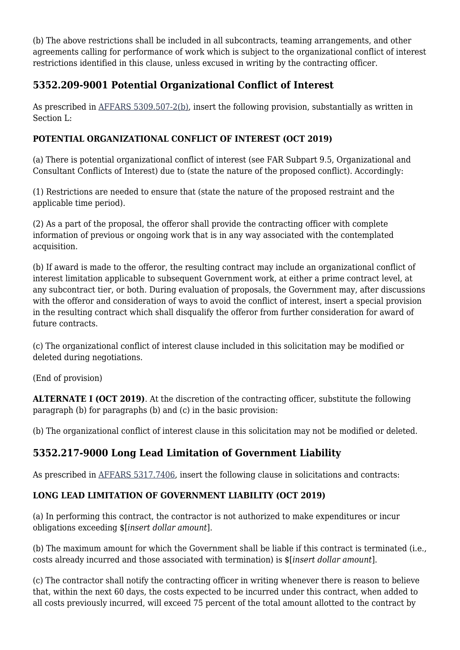(b) The above restrictions shall be included in all subcontracts, teaming arrangements, and other agreements calling for performance of work which is subject to the organizational conflict of interest restrictions identified in this clause, unless excused in writing by the contracting officer.

## **5352.209-9001 Potential Organizational Conflict of Interest**

As prescribed in [AFFARS 5309.507-2\(b\),](https://origin-www.acquisition.gov/%5Brp:link:affars-part-5309%5D) insert the following provision, substantially as written in Section L:

## **POTENTIAL ORGANIZATIONAL CONFLICT OF INTEREST (OCT 2019)**

(a) There is potential organizational conflict of interest (see FAR Subpart 9.5, Organizational and Consultant Conflicts of Interest) due to (state the nature of the proposed conflict). Accordingly:

(1) Restrictions are needed to ensure that (state the nature of the proposed restraint and the applicable time period).

(2) As a part of the proposal, the offeror shall provide the contracting officer with complete information of previous or ongoing work that is in any way associated with the contemplated acquisition.

(b) If award is made to the offeror, the resulting contract may include an organizational conflict of interest limitation applicable to subsequent Government work, at either a prime contract level, at any subcontract tier, or both. During evaluation of proposals, the Government may, after discussions with the offeror and consideration of ways to avoid the conflict of interest, insert a special provision in the resulting contract which shall disqualify the offeror from further consideration for award of future contracts.

(c) The organizational conflict of interest clause included in this solicitation may be modified or deleted during negotiations.

(End of provision)

**ALTERNATE I (OCT 2019)**. At the discretion of the contracting officer, substitute the following paragraph (b) for paragraphs (b) and (c) in the basic provision:

(b) The organizational conflict of interest clause in this solicitation may not be modified or deleted.

## **5352.217-9000 Long Lead Limitation of Government Liability**

As prescribed in [AFFARS 5317.7406,](https://origin-www.acquisition.gov/%5Brp:link:affars-part-5317%5D#p53177406) insert the following clause in solicitations and contracts:

## **LONG LEAD LIMITATION OF GOVERNMENT LIABILITY (OCT 2019)**

(a) In performing this contract, the contractor is not authorized to make expenditures or incur obligations exceeding \$[*insert dollar amount*].

(b) The maximum amount for which the Government shall be liable if this contract is terminated (i.e., costs already incurred and those associated with termination) is \$[*insert dollar amount*].

(c) The contractor shall notify the contracting officer in writing whenever there is reason to believe that, within the next 60 days, the costs expected to be incurred under this contract, when added to all costs previously incurred, will exceed 75 percent of the total amount allotted to the contract by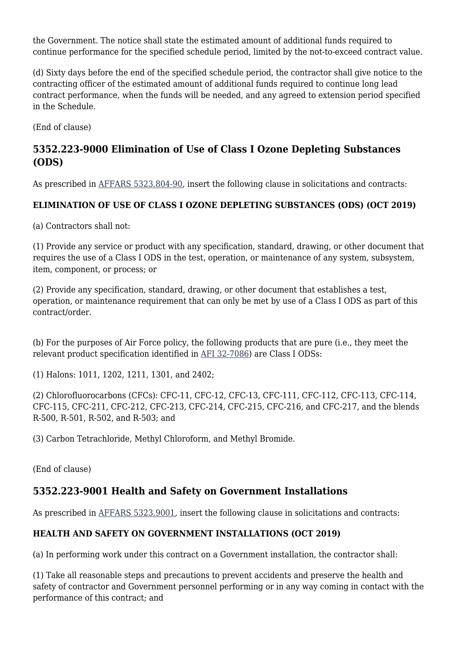the Government. The notice shall state the estimated amount of additional funds required to continue performance for the specified schedule period, limited by the not-to-exceed contract value.

(d) Sixty days before the end of the specified schedule period, the contractor shall give notice to the contracting officer of the estimated amount of additional funds required to continue long lead contract performance, when the funds will be needed, and any agreed to extension period specified in the Schedule.

(End of clause)

## **5352.223-9000 Elimination of Use of Class I Ozone Depleting Substances (ODS)**

As prescribed in [AFFARS 5323.804-90](https://origin-www.acquisition.gov/%5Brp:link:affars-part-5323%5D#p5323804), insert the following clause in solicitations and contracts:

### **ELIMINATION OF USE OF CLASS I OZONE DEPLETING SUBSTANCES (ODS) (OCT 2019)**

(a) Contractors shall not:

(1) Provide any service or product with any specification, standard, drawing, or other document that requires the use of a Class I ODS in the test, operation, or maintenance of any system, subsystem, item, component, or process; or

(2) Provide any specification, standard, drawing, or other document that establishes a test, operation, or maintenance requirement that can only be met by use of a Class I ODS as part of this contract/order.

(b) For the purposes of Air Force policy, the following products that are pure (i.e., they meet the relevant product specification identified in [AFI 32-7086](http://static.e-publishing.af.mil/production/1/af_a4/publication/afi32-7086/afi32-7086.pdf)) are Class I ODSs:

(1) Halons: 1011, 1202, 1211, 1301, and 2402;

(2) Chlorofluorocarbons (CFCs): CFC-11, CFC-12, CFC-13, CFC-111, CFC-112, CFC-113, CFC-114, CFC-115, CFC-211, CFC-212, CFC-213, CFC-214, CFC-215, CFC-216, and CFC-217, and the blends R-500, R-501, R-502, and R-503; and

(3) Carbon Tetrachloride, Methyl Chloroform, and Methyl Bromide.

(End of clause)

## **5352.223-9001 Health and Safety on Government Installations**

As prescribed in [AFFARS 5323.9001,](https://origin-www.acquisition.gov/%5Brp:link:affars-part-5323%5D#p53239001) insert the following clause in solicitations and contracts:

### **HEALTH AND SAFETY ON GOVERNMENT INSTALLATIONS (OCT 2019)**

(a) In performing work under this contract on a Government installation, the contractor shall:

(1) Take all reasonable steps and precautions to prevent accidents and preserve the health and safety of contractor and Government personnel performing or in any way coming in contact with the performance of this contract; and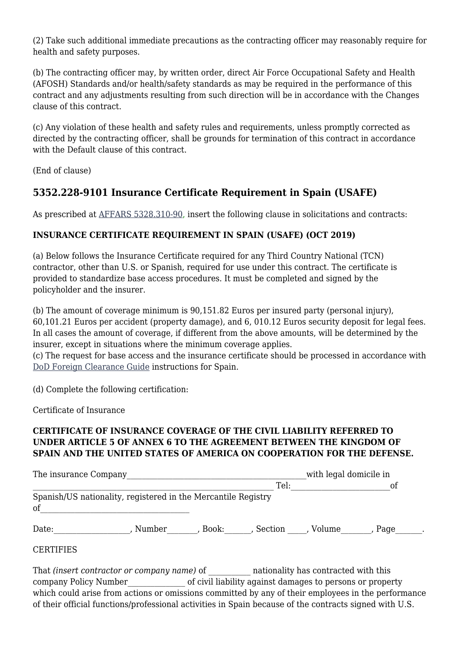(2) Take such additional immediate precautions as the contracting officer may reasonably require for health and safety purposes.

(b) The contracting officer may, by written order, direct Air Force Occupational Safety and Health (AFOSH) Standards and/or health/safety standards as may be required in the performance of this contract and any adjustments resulting from such direction will be in accordance with the Changes clause of this contract.

(c) Any violation of these health and safety rules and requirements, unless promptly corrected as directed by the contracting officer, shall be grounds for termination of this contract in accordance with the Default clause of this contract.

(End of clause)

## **5352.228-9101 Insurance Certificate Requirement in Spain (USAFE)**

As prescribed at [AFFARS 5328.310-90,](https://origin-www.acquisition.gov/%5Brp:link:affars-part-5328%5D#p5328310) insert the following clause in solicitations and contracts:

### **INSURANCE CERTIFICATE REQUIREMENT IN SPAIN (USAFE) (OCT 2019)**

(a) Below follows the Insurance Certificate required for any Third Country National (TCN) contractor, other than U.S. or Spanish, required for use under this contract. The certificate is provided to standardize base access procedures. It must be completed and signed by the policyholder and the insurer.

(b) The amount of coverage minimum is 90,151.82 Euros per insured party (personal injury), 60,101.21 Euros per accident (property damage), and 6, 010.12 Euros security deposit for legal fees. In all cases the amount of coverage, if different from the above amounts, will be determined by the insurer, except in situations where the minimum coverage applies.

(c) The request for base access and the insurance certificate should be processed in accordance with [DoD Foreign Clearance Guide](https://www.fcg.pentagon.mil/) instructions for Spain.

(d) Complete the following certification:

Certificate of Insurance

#### **CERTIFICATE OF INSURANCE COVERAGE OF THE CIVIL LIABILITY REFERRED TO UNDER ARTICLE 5 OF ANNEX 6 TO THE AGREEMENT BETWEEN THE KINGDOM OF SPAIN AND THE UNITED STATES OF AMERICA ON COOPERATION FOR THE DEFENSE.**

| The insurance Company |                                                               |       |         | with legal domicile in |      |  |
|-----------------------|---------------------------------------------------------------|-------|---------|------------------------|------|--|
|                       |                                                               |       | Tel:    |                        | ΟĪ   |  |
| οf                    | Spanish/US nationality, registered in the Mercantile Registry |       |         |                        |      |  |
| Date:                 | Number                                                        | Book: | Section | Volume                 | Page |  |

#### **CERTIFIES**

That *(insert contractor or company name)* of the nationality has contracted with this company Policy Number of civil liability against damages to persons or property which could arise from actions or omissions committed by any of their employees in the performance of their official functions/professional activities in Spain because of the contracts signed with U.S.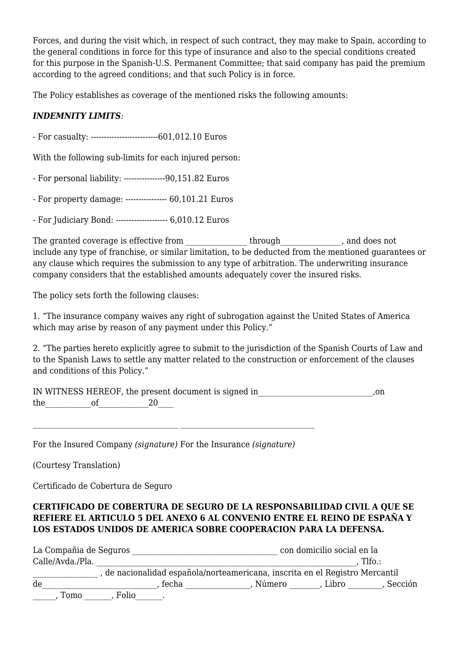Forces, and during the visit which, in respect of such contract, they may make to Spain, according to the general conditions in force for this type of insurance and also to the special conditions created for this purpose in the Spanish-U.S. Permanent Committee; that said company has paid the premium according to the agreed conditions; and that such Policy is in force.

The Policy establishes as coverage of the mentioned risks the following amounts:

#### *INDEMNITY LIMITS:*

- For casualty: --------------------------601,012.10 Euros

With the following sub-limits for each injured person:

- For personal liability: ----------------90,151.82 Euros

- For property damage: ---------------- 60,101.21 Euros

- For Judiciary Bond: -------------------- 6,010.12 Euros

The granted coverage is effective from through through through and does not include any type of franchise, or similar limitation, to be deducted from the mentioned guarantees or any clause which requires the submission to any type of arbitration. The underwriting insurance company considers that the established amounts adequately cover the insured risks.

The policy sets forth the following clauses:

1. "The insurance company waives any right of subrogation against the United States of America which may arise by reason of any payment under this Policy."

2. "The parties hereto explicitly agree to submit to the jurisdiction of the Spanish Courts of Law and to the Spanish Laws to settle any matter related to the construction or enforcement of the clauses and conditions of this Policy."

|     |  | IN WITNESS HEREOF, the present document is signed in |  |
|-----|--|------------------------------------------------------|--|
| the |  |                                                      |  |

For the Insured Company *(signature)* For the Insurance *(signature)*

(Courtesy Translation)

Certificado de Cobertura de Seguro

#### **CERTIFICADO DE COBERTURA DE SEGURO DE LA RESPONSABILIDAD CIVIL A QUE SE REFIERE EL ARTICULO 5 DEL ANEXO 6 AL CONVENIO ENTRE EL REINO DE ESPAÑA Y LOS ESTADOS UNIDOS DE AMERICA SOBRE COOPERACION PARA LA DEFENSA.**

| La Compañia de Seguros |       |       |                                                                            | con domicilio social en la |         |  |  |
|------------------------|-------|-------|----------------------------------------------------------------------------|----------------------------|---------|--|--|
| Calle/Avda./Pla.       |       |       | $Tlfo.$ :                                                                  |                            |         |  |  |
|                        |       |       | de nacionalidad española/norteamericana, inscrita en el Registro Mercantil |                            |         |  |  |
| de                     |       | fecha | Número                                                                     | Libro                      | Sección |  |  |
| Tomo                   | Folio |       |                                                                            |                            |         |  |  |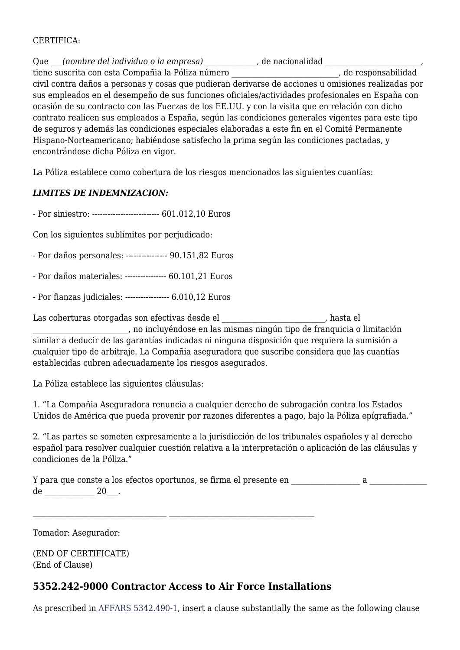#### CERTIFICA:

Que *\_\_\_(nombre del individuo o la empresa)\_\_\_\_\_\_\_\_\_\_\_\_\_\_,* de nacionalidad \_\_\_\_\_\_\_\_\_\_\_\_\_\_\_\_\_\_\_\_\_\_\_\_\_, tiene suscrita con esta Compañia la Póliza número \_\_\_\_\_\_\_\_\_\_\_\_\_\_\_\_\_\_\_\_\_\_\_\_\_\_\_\_, de responsabilidad civil contra daños a personas y cosas que pudieran derivarse de acciones u omisiones realizadas por sus empleados en el desempeño de sus funciones oficiales/actividades profesionales en España con ocasión de su contracto con las Fuerzas de los EE.UU. y con la visita que en relación con dicho contrato realicen sus empleados a España, según las condiciones generales vigentes para este tipo de seguros y además las condiciones especiales elaboradas a este fin en el Comité Permanente Hispano-Norteamericano; habiéndose satisfecho la prima según las condiciones pactadas, y encontrándose dicha Póliza en vigor.

La Póliza establece como cobertura de los riesgos mencionados las siguientes cuantías:

#### *LIMITES DE INDEMNIZACION:*

- Por siniestro: -------------------------- 601.012,10 Euros

Con los siguientes sublímites por perjudicado:

- Por daños personales: ---------------- 90.151,82 Euros

- Por daños materiales: ---------------- 60.101,21 Euros

- Por fianzas judiciales: ----------------- 6.010,12 Euros

Las coberturas otorgadas son efectivas desde el \_\_\_\_\_\_\_\_\_\_\_\_\_\_\_\_\_\_\_\_\_\_\_\_\_\_\_, hasta el \_\_\_\_\_\_\_\_\_\_\_\_\_\_\_\_\_\_\_\_\_\_\_\_\_, no incluyéndose en las mismas ningún tipo de franquicia o limitación similar a deducir de las garantías indicadas ni ninguna disposición que requiera la sumisión a cualquier tipo de arbitraje. La Compañia aseguradora que suscribe considera que las cuantías establecidas cubren adecuadamente los riesgos asegurados.

La Póliza establece las siguientes cláusulas:

1. "La Compañia Aseguradora renuncia a cualquier derecho de subrogación contra los Estados Unidos de América que pueda provenir por razones diferentes a pago, bajo la Póliza epígrafiada."

2. "Las partes se someten expresamente a la jurisdicción de los tribunales españoles y al derecho español para resolver cualquier cuestión relativa a la interpretación o aplicación de las cláusulas y condiciones de la Póliza."

Y para que conste a los efectos oportunos, se firma el presente en \_\_\_\_\_\_\_\_\_\_\_\_\_\_\_\_\_\_ a \_\_\_\_\_\_\_\_\_\_\_\_\_\_\_ de \_\_\_\_\_\_\_\_\_\_\_\_\_ 20\_\_\_.

Tomador: Asegurador:

(END OF CERTIFICATE) (End of Clause)

## **5352.242-9000 Contractor Access to Air Force Installations**

As prescribed in [AFFARS 5342.490-1,](https://origin-www.acquisition.gov/%5Brp:link:affars-part-5342%5D#p53424901) insert a clause substantially the same as the following clause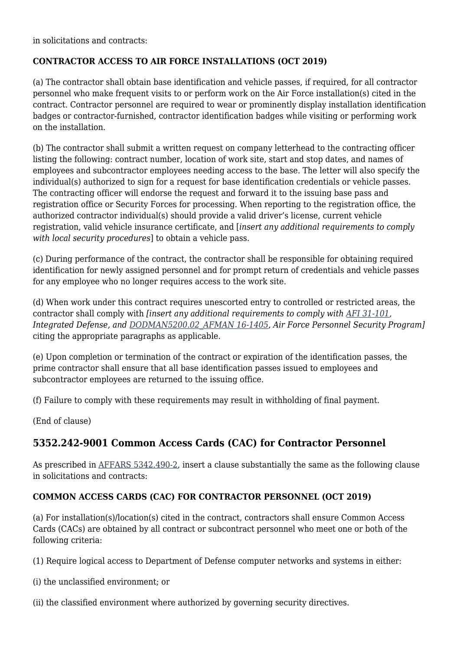in solicitations and contracts:

#### **CONTRACTOR ACCESS TO AIR FORCE INSTALLATIONS (OCT 2019)**

(a) The contractor shall obtain base identification and vehicle passes, if required, for all contractor personnel who make frequent visits to or perform work on the Air Force installation(s) cited in the contract. Contractor personnel are required to wear or prominently display installation identification badges or contractor-furnished, contractor identification badges while visiting or performing work on the installation.

(b) The contractor shall submit a written request on company letterhead to the contracting officer listing the following: contract number, location of work site, start and stop dates, and names of employees and subcontractor employees needing access to the base. The letter will also specify the individual(s) authorized to sign for a request for base identification credentials or vehicle passes. The contracting officer will endorse the request and forward it to the issuing base pass and registration office or Security Forces for processing. When reporting to the registration office, the authorized contractor individual(s) should provide a valid driver's license, current vehicle registration, valid vehicle insurance certificate, and [*insert any additional requirements to comply with local security procedures*] to obtain a vehicle pass.

(c) During performance of the contract, the contractor shall be responsible for obtaining required identification for newly assigned personnel and for prompt return of credentials and vehicle passes for any employee who no longer requires access to the work site.

(d) When work under this contract requires unescorted entry to controlled or restricted areas, the contractor shall comply with *[insert any additional requirements to comply with [AFI 31-101](http://static.e-publishing.af.mil/production/1/af_a4/publication/afi31-101/generic_wms.pdf), Integrated Defense, and [DODMAN5200.02\\_AFMAN 16-1405,](https://static.e-publishing.af.mil/production/1/saf_aa/publication/dodman5200.02_afman16-1405/dodm5200.02_afman16-1405.pdf) Air Force Personnel Security Program]* citing the appropriate paragraphs as applicable.

(e) Upon completion or termination of the contract or expiration of the identification passes, the prime contractor shall ensure that all base identification passes issued to employees and subcontractor employees are returned to the issuing office.

(f) Failure to comply with these requirements may result in withholding of final payment.

(End of clause)

## **5352.242-9001 Common Access Cards (CAC) for Contractor Personnel**

As prescribed in [AFFARS 5342.490-2,](https://origin-www.acquisition.gov/%5Brp:link:affars-part-5342%5D#p53424902) insert a clause substantially the same as the following clause in solicitations and contracts:

#### **COMMON ACCESS CARDS (CAC) FOR CONTRACTOR PERSONNEL (OCT 2019)**

(a) For installation(s)/location(s) cited in the contract, contractors shall ensure Common Access Cards (CACs) are obtained by all contract or subcontract personnel who meet one or both of the following criteria:

(1) Require logical access to Department of Defense computer networks and systems in either:

- (i) the unclassified environment; or
- (ii) the classified environment where authorized by governing security directives.